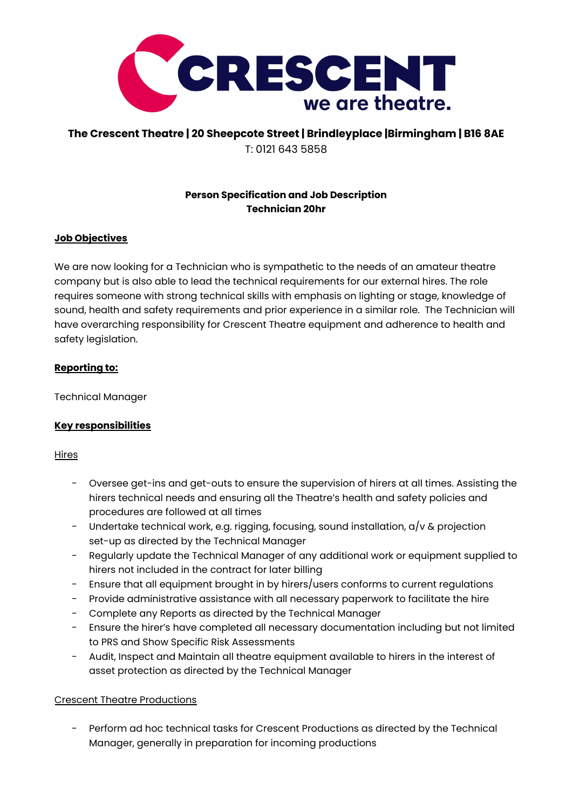

# **The Crescent Theatre | 20 Sheepcote Street | Brindleyplace |Birmingham | B16 8AE** T: 0121 643 5858

# **Person Specification and Job Description Technician 20hr**

## **Job Objectives**

We are now looking for a Technician who is sympathetic to the needs of an amateur theatre company but is also able to lead the technical requirements for our external hires. The role requires someone with strong technical skills with emphasis on lighting or stage, knowledge of sound, health and safety requirements and prior experience in a similar role. The Technician will have overarching responsibility for Crescent Theatre equipment and adherence to health and safety legislation.

## **Reporting to:**

Technical Manager

# **Key responsibilities**

## **Hires**

- Oversee get-ins and get-outs to ensure the supervision of hirers at all times. Assisting the hirers technical needs and ensuring all the Theatre's health and safety policies and procedures are followed at all times
- Undertake technical work, e.g. rigging, focusing, sound installation, a/v & projection set-up as directed by the Technical Manager
- Regularly update the Technical Manager of any additional work or equipment supplied to hirers not included in the contract for later billing
- Ensure that all equipment brought in by hirers/users conforms to current regulations
- Provide administrative assistance with all necessary paperwork to facilitate the hire
- Complete any Reports as directed by the Technical Manager
- Ensure the hirer's have completed all necessary documentation including but not limited to PRS and Show Specific Risk Assessments
- Audit, Inspect and Maintain all theatre equipment available to hirers in the interest of asset protection as directed by the Technical Manager

## Crescent Theatre Productions

Perform ad hoc technical tasks for Crescent Productions as directed by the Technical Manager, generally in preparation for incoming productions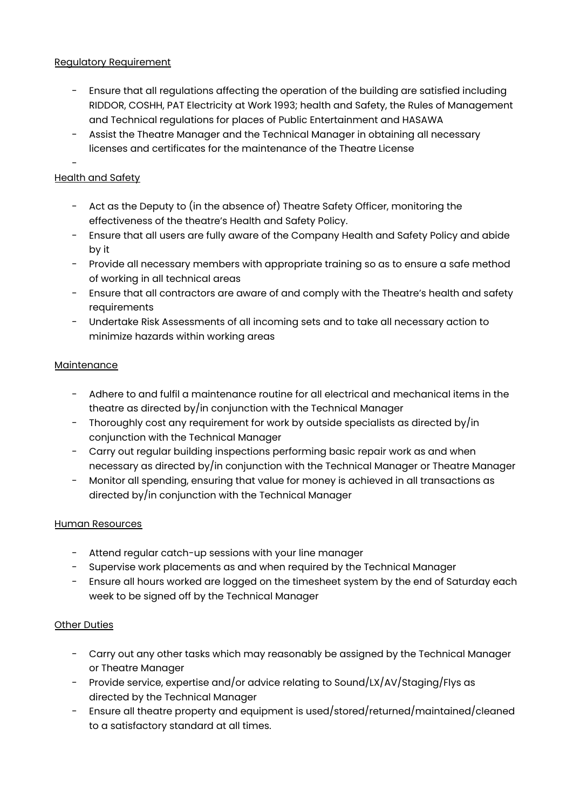## Regulatory Requirement

- Ensure that all regulations affecting the operation of the building are satisfied including RIDDOR, COSHH, PAT Electricity at Work 1993; health and Safety, the Rules of Management and Technical regulations for places of Public Entertainment and HASAWA
- Assist the Theatre Manager and the Technical Manager in obtaining all necessary licenses and certificates for the maintenance of the Theatre License

#### - Health and Safety

- Act as the Deputy to (in the absence of) Theatre Safety Officer, monitoring the effectiveness of the theatre's Health and Safety Policy.
- Ensure that all users are fully aware of the Company Health and Safety Policy and abide by it
- Provide all necessary members with appropriate training so as to ensure a safe method of working in all technical areas
- Ensure that all contractors are aware of and comply with the Theatre's health and safety requirements
- Undertake Risk Assessments of all incoming sets and to take all necessary action to minimize hazards within working areas

## Maintenance

- Adhere to and fulfil a maintenance routine for all electrical and mechanical items in the theatre as directed by/in conjunction with the Technical Manager
- Thoroughly cost any requirement for work by outside specialists as directed by/in conjunction with the Technical Manager
- Carry out regular building inspections performing basic repair work as and when necessary as directed by/in conjunction with the Technical Manager or Theatre Manager
- Monitor all spending, ensuring that value for money is achieved in all transactions as directed by/in conjunction with the Technical Manager

## Human Resources

- Attend regular catch-up sessions with your line manager
- Supervise work placements as and when required by the Technical Manager
- Ensure all hours worked are logged on the timesheet system by the end of Saturday each week to be signed off by the Technical Manager

## Other Duties

- Carry out any other tasks which may reasonably be assigned by the Technical Manager or Theatre Manager
- Provide service, expertise and/or advice relating to Sound/LX/AV/Staging/Flys as directed by the Technical Manager
- Ensure all theatre property and equipment is used/stored/returned/maintained/cleaned to a satisfactory standard at all times.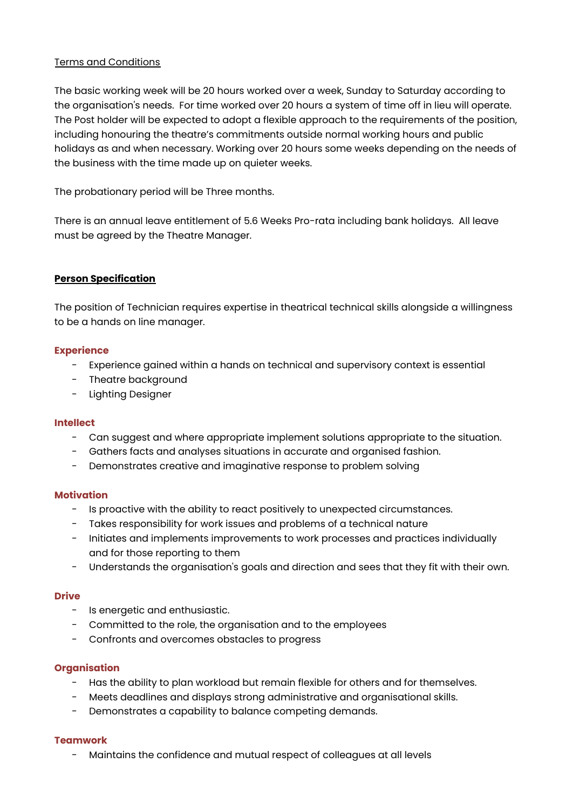## Terms and Conditions

The basic working week will be 20 hours worked over a week, Sunday to Saturday according to the organisation's needs. For time worked over 20 hours a system of time off in lieu will operate. The Post holder will be expected to adopt a flexible approach to the requirements of the position, including honouring the theatre's commitments outside normal working hours and public holidays as and when necessary. Working over 20 hours some weeks depending on the needs of the business with the time made up on quieter weeks.

The probationary period will be Three months.

There is an annual leave entitlement of 5.6 Weeks Pro-rata including bank holidays. All leave must be agreed by the Theatre Manager.

### **Person Specification**

The position of Technician requires expertise in theatrical technical skills alongside a willingness to be a hands on line manager.

#### **Experience**

- Experience gained within a hands on technical and supervisory context is essential
- Theatre background
- Lighting Designer

#### **Intellect**

- Can suggest and where appropriate implement solutions appropriate to the situation.
- Gathers facts and analyses situations in accurate and organised fashion.
- Demonstrates creative and imaginative response to problem solving

#### **Motivation**

- Is proactive with the ability to react positively to unexpected circumstances.
- Takes responsibility for work issues and problems of a technical nature
- Initiates and implements improvements to work processes and practices individually and for those reporting to them
- Understands the organisation's goals and direction and sees that they fit with their own.

#### **Drive**

- Is energetic and enthusiastic.
- Committed to the role, the organisation and to the employees
- Confronts and overcomes obstacles to progress

#### **Organisation**

- Has the ability to plan workload but remain flexible for others and for themselves.
- Meets deadlines and displays strong administrative and organisational skills.
- Demonstrates a capability to balance competing demands.

#### **Teamwork**

Maintains the confidence and mutual respect of colleagues at all levels